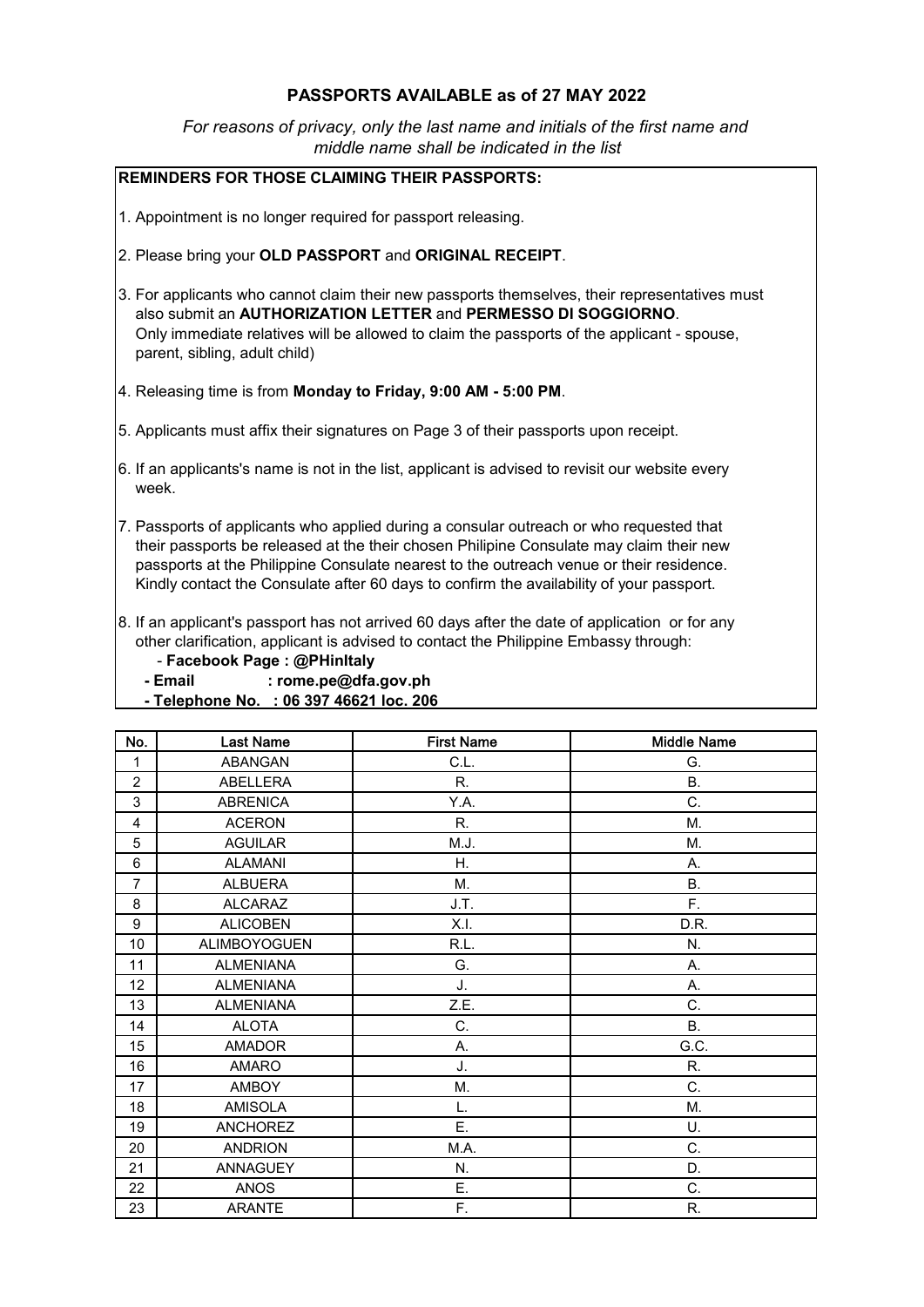## PASSPORTS AVAILABLE as of 27 MAY 2022

 *middle name shall be indicated in the list For reasons of privacy, only the last name and initials of the first name and*

## REMINDERS FOR THOSE CLAIMING THEIR PASSPORTS:

- 1. Appointment is no longer required for passport releasing.
- 2. Please bring your OLD PASSPORT and ORIGINAL RECEIPT.
- 3. For applicants who cannot claim their new passports themselves, their representatives must also submit an AUTHORIZATION LETTER and PERMESSO DI SOGGIORNO. Only immediate relatives will be allowed to claim the passports of the applicant - spouse, parent, sibling, adult child)
- 4. Releasing time is from Monday to Friday, 9:00 AM 5:00 PM.
- 5. Applicants must affix their signatures on Page 3 of their passports upon receipt.
- 6. If an applicants's name is not in the list, applicant is advised to revisit our website every week.
- 7. Passports of applicants who applied during a consular outreach or who requested that their passports be released at the their chosen Philipine Consulate may claim their new passports at the Philippine Consulate nearest to the outreach venue or their residence. Kindly contact the Consulate after 60 days to confirm the availability of your passport.
- 8. If an applicant's passport has not arrived 60 days after the date of application or for any other clarification, applicant is advised to contact the Philippine Embassy through:
	- Facebook Page : @PHinItaly
	- Email : rome.pe@dfa.gov.ph
	- Telephone No. : 06 397 46621 loc. 206

| No.              | <b>Last Name</b>    | <b>First Name</b> | <b>Middle Name</b> |
|------------------|---------------------|-------------------|--------------------|
| 1                | <b>ABANGAN</b>      | C.L.              | G.                 |
| $\overline{c}$   | ABELLERA            | R.                | <b>B.</b>          |
| 3                | <b>ABRENICA</b>     | Y.A.              | C.                 |
| $\overline{4}$   | <b>ACERON</b>       | R.                | М.                 |
| 5                | <b>AGUILAR</b>      | M.J.              | Μ.                 |
| 6                | <b>ALAMANI</b>      | Η.                | А.                 |
| $\overline{7}$   | <b>ALBUERA</b>      | M.                | <b>B.</b>          |
| 8                | <b>ALCARAZ</b>      | J.T.              | F.                 |
| $\boldsymbol{9}$ | <b>ALICOBEN</b>     | X.I.              | D.R.               |
| 10               | <b>ALIMBOYOGUEN</b> | R.L.              | N.                 |
| 11               | <b>ALMENIANA</b>    | G.                | А.                 |
| 12               | <b>ALMENIANA</b>    | J.                | А.                 |
| 13               | <b>ALMENIANA</b>    | Z.E.              | C.                 |
| 14               | <b>ALOTA</b>        | C.                | <b>B.</b>          |
| 15               | <b>AMADOR</b>       | А.                | G.C.               |
| 16               | <b>AMARO</b>        | J.                | R.                 |
| 17               | AMBOY               | Μ.                | C.                 |
| 18               | <b>AMISOLA</b>      | L.                | Μ.                 |
| 19               | <b>ANCHOREZ</b>     | Ε.                | U.                 |
| 20               | <b>ANDRION</b>      | M.A.              | C.                 |
| 21               | ANNAGUEY            | N.                | D.                 |
| 22               | <b>ANOS</b>         | Ε.                | C.                 |
| 23               | <b>ARANTE</b>       | F.                | R.                 |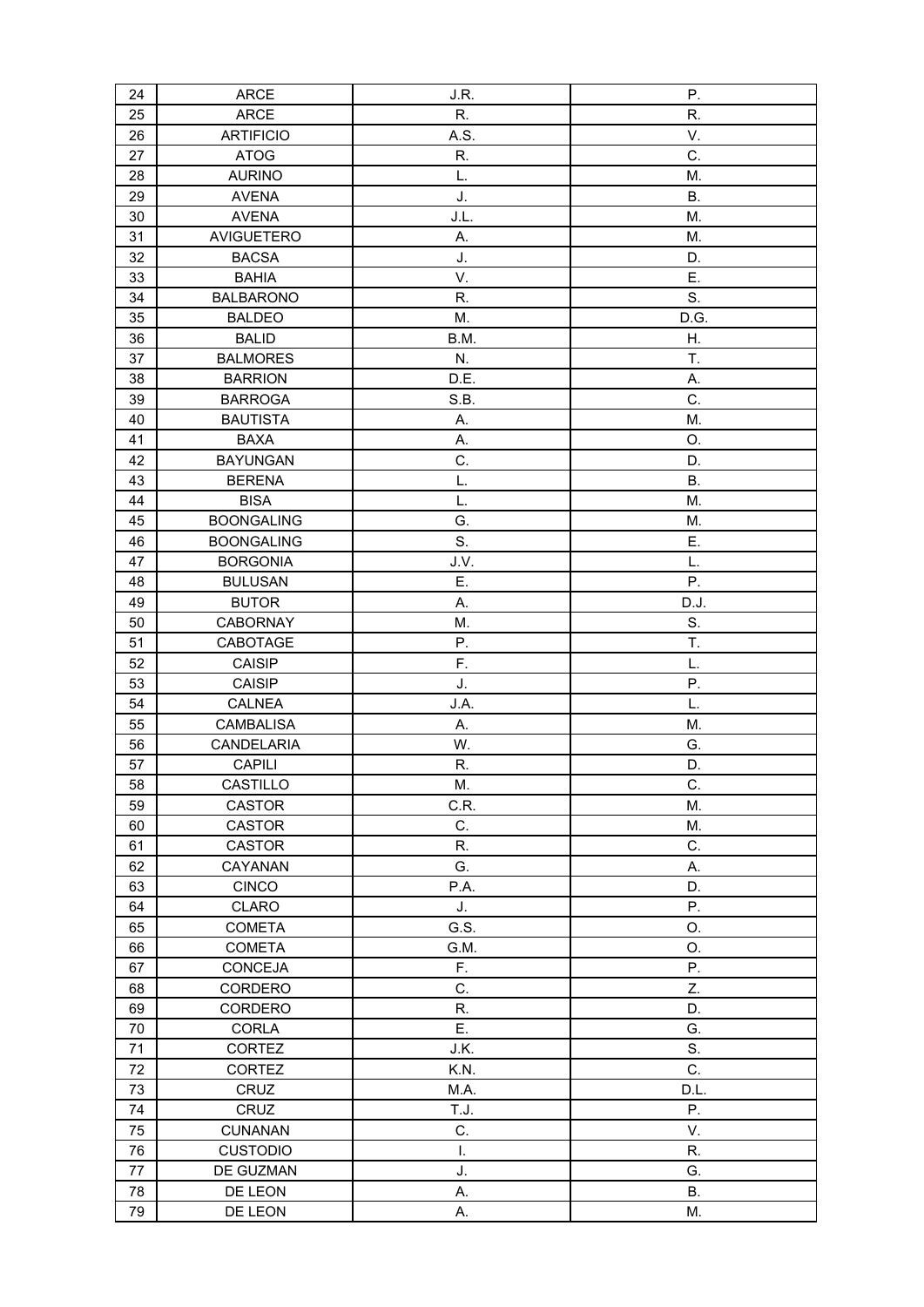| 24       | <b>ARCE</b>              | J.R.       | Ρ.              |
|----------|--------------------------|------------|-----------------|
| 25       | <b>ARCE</b>              | R.         | R.              |
| 26       | <b>ARTIFICIO</b>         | A.S.       | V.              |
| 27       | <b>ATOG</b>              | R.         | C.              |
| 28       | <b>AURINO</b>            | L.         | M.              |
| 29       | <b>AVENA</b>             | J.         | <b>B.</b>       |
| 30       | <b>AVENA</b>             | J.L.       | M.              |
| 31       | <b>AVIGUETERO</b>        | Α.         | M.              |
| 32       | <b>BACSA</b>             | J.         | D.              |
| 33       | <b>BAHIA</b>             | V.         | Ε.              |
| 34       | <b>BALBARONO</b>         | R.         | S.              |
| 35       | <b>BALDEO</b>            | Μ.         | D.G.            |
| 36       | <b>BALID</b>             | B.M.       | Η.              |
| 37       | <b>BALMORES</b>          | N.         | T.              |
|          |                          | D.E.       |                 |
| 38       | <b>BARRION</b>           |            | Α.<br>C.        |
| 39       | <b>BARROGA</b>           | S.B.       |                 |
| 40       | <b>BAUTISTA</b>          | А.         | M.              |
| 41       | <b>BAXA</b>              | Α.         | O.              |
| 42       | <b>BAYUNGAN</b>          | C.         | D.              |
| 43       | <b>BERENA</b>            | L.         | <b>B.</b>       |
| 44       | <b>BISA</b>              | L.         | M.              |
| 45       | <b>BOONGALING</b>        | G.         | M.              |
| 46       | <b>BOONGALING</b>        | S.         | Ε.              |
| 47       | <b>BORGONIA</b>          | J.V.       | L.              |
| 48       | <b>BULUSAN</b>           | Ε.         | Ρ.              |
| 49       | <b>BUTOR</b>             | Α.         | D.J.            |
| 50       | <b>CABORNAY</b>          | M.         | S.              |
| 51       | CABOTAGE                 | Ρ.         | T.              |
| 52       | CAISIP                   | F.         | L.              |
| 53       | CAISIP                   | J.         | Ρ.              |
| 54       | <b>CALNEA</b>            | J.A.       | L.              |
| 55       | <b>CAMBALISA</b>         | Α.         | M.              |
| 56       | CANDELARIA               | W.         | G.              |
| 57       | CAPILI                   | R.         |                 |
| 58       |                          |            | D.              |
|          | CASTILLO                 | M.         | C.              |
| 59       | <b>CASTOR</b>            | C.R.       | M.              |
| 60       | <b>CASTOR</b>            | C.         | M.              |
| 61       |                          | R.         | C.              |
| 62       | CASTOR<br>CAYANAN        | G.         |                 |
| 63       | <b>CINCO</b>             | P.A.       | А.<br>D.        |
| 64       | CLARO                    |            | Ρ.              |
| 65       | <b>COMETA</b>            | J.<br>G.S. | Ο.              |
|          |                          |            |                 |
| 66<br>67 | <b>COMETA</b><br>CONCEJA | G.M.       | O.              |
|          |                          | F.         | Ρ.              |
| 68       | CORDERO                  | C.         | Z.              |
| 69       | CORDERO                  | R.         | D.              |
| 70       | CORLA                    | Ε.         | G.              |
| 71       | <b>CORTEZ</b>            | J.K.       | S.              |
| 72       | CORTEZ                   | K.N.       | C.              |
| 73       | CRUZ                     | M.A.       | D.L.            |
| 74       | CRUZ                     | T.J.       | Ρ.              |
| 75       | <b>CUNANAN</b>           | C.         | V.              |
| 76       | <b>CUSTODIO</b>          | L.         | R.              |
| 77       | DE GUZMAN                | J.         | G.              |
| 78<br>79 | DE LEON<br>DE LEON       | А.<br>А.   | <b>B.</b><br>М. |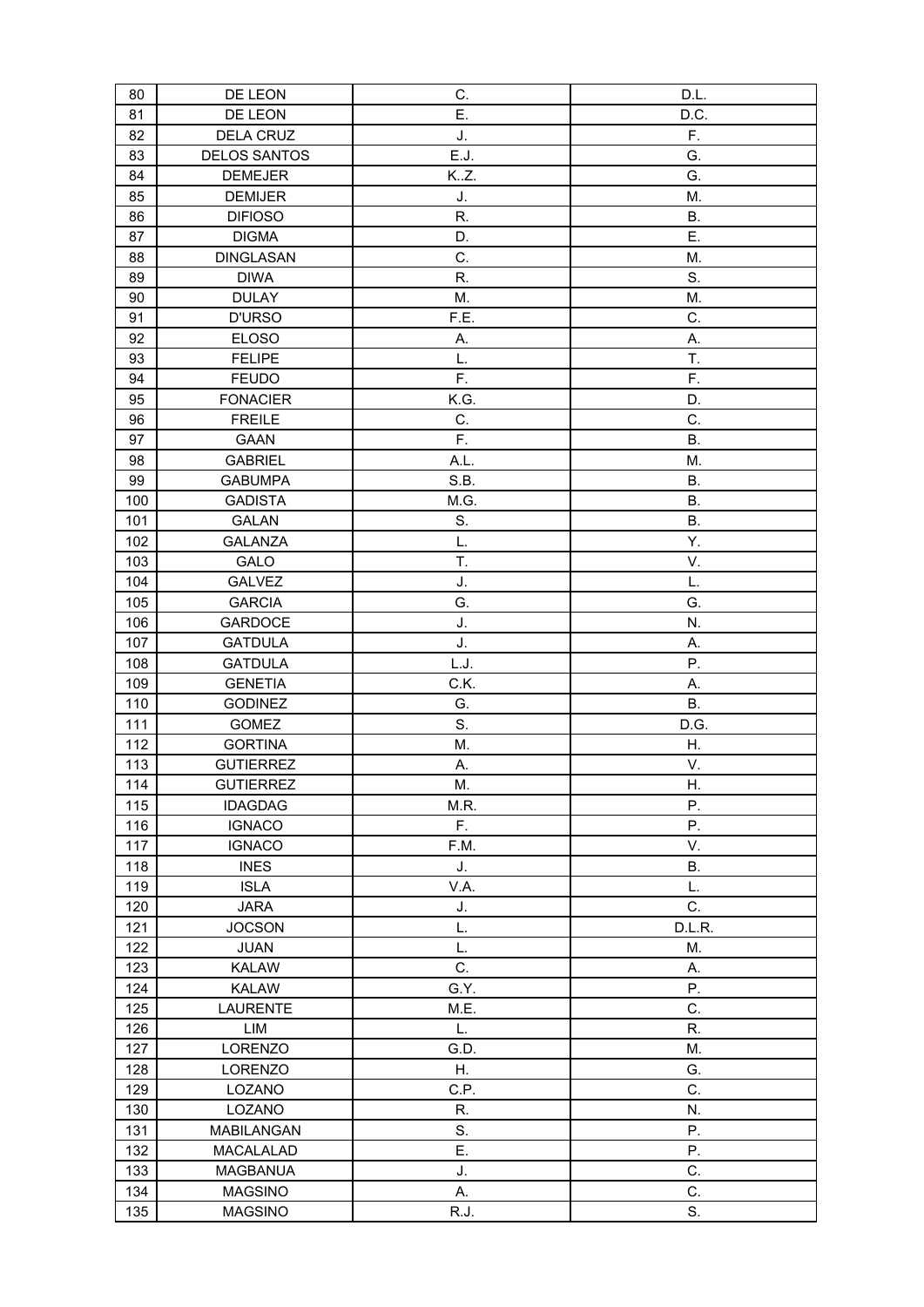| 80  | DE LEON             | C.   | D.L.      |
|-----|---------------------|------|-----------|
| 81  | DE LEON             | Ε.   | D.C.      |
| 82  | <b>DELA CRUZ</b>    | J.   | F.        |
| 83  | <b>DELOS SANTOS</b> | E.J. | G.        |
| 84  | <b>DEMEJER</b>      | KZ.  | G.        |
| 85  | <b>DEMIJER</b>      | J.   | M.        |
| 86  | <b>DIFIOSO</b>      | R.   | <b>B.</b> |
| 87  | <b>DIGMA</b>        | D.   | E.        |
| 88  | <b>DINGLASAN</b>    | C.   | M.        |
| 89  | <b>DIWA</b>         | R.   | S.        |
| 90  | <b>DULAY</b>        | Μ.   | M.        |
| 91  | <b>D'URSO</b>       | F.E. | C.        |
| 92  | <b>ELOSO</b>        | А.   | Α.        |
| 93  | <b>FELIPE</b>       | L.   | T.        |
|     |                     | F.   | F.        |
| 94  | <b>FEUDO</b>        |      |           |
| 95  | <b>FONACIER</b>     | K.G. | D.        |
| 96  | <b>FREILE</b>       | C.   | C.        |
| 97  | <b>GAAN</b>         | F.   | <b>B.</b> |
| 98  | <b>GABRIEL</b>      | A.L. | M.        |
| 99  | <b>GABUMPA</b>      | S.B. | <b>B.</b> |
| 100 | <b>GADISTA</b>      | M.G. | <b>B.</b> |
| 101 | <b>GALAN</b>        | S.   | <b>B.</b> |
| 102 | <b>GALANZA</b>      | L.   | Υ.        |
| 103 | GALO                | T.   | V.        |
| 104 | <b>GALVEZ</b>       | J.   | L.        |
| 105 | <b>GARCIA</b>       | G.   | G.        |
| 106 | <b>GARDOCE</b>      | J.   | N.        |
| 107 | <b>GATDULA</b>      | J.   | Α.        |
| 108 | <b>GATDULA</b>      | L.J. | Ρ.        |
| 109 | <b>GENETIA</b>      | C.K. | Α.        |
| 110 | <b>GODINEZ</b>      | G.   | <b>B.</b> |
| 111 | GOMEZ               | S.   | D.G.      |
| 112 | <b>GORTINA</b>      | M.   | Η.        |
| 113 | <b>GUTIERREZ</b>    | А.   | V.        |
| 114 | <b>GUTIERREZ</b>    | M.   | Η.        |
| 115 | <b>IDAGDAG</b>      | M.R. | Ρ.        |
| 116 | <b>IGNACO</b>       | F.   | Ρ.        |
| 117 | <b>IGNACO</b>       | F.M. | V.        |
| 118 | <b>INES</b>         | J.   | <b>B.</b> |
| 119 | <b>ISLA</b>         | V.A. | L.        |
| 120 | <b>JARA</b>         | J.   | C.        |
| 121 | <b>JOCSON</b>       | L.   | D.L.R.    |
| 122 | <b>JUAN</b>         | L.   | M.        |
| 123 | <b>KALAW</b>        | C.   | А.        |
| 124 | <b>KALAW</b>        | G.Y. | Ρ.        |
| 125 | <b>LAURENTE</b>     | M.E. | C.        |
| 126 | LIM                 | L.   | R.        |
| 127 | LORENZO             | G.D. | M.        |
| 128 | LORENZO             | Η.   | G.        |
| 129 | LOZANO              | C.P. | C.        |
| 130 | LOZANO              | R.   | N.        |
| 131 | <b>MABILANGAN</b>   | S.   | Ρ.        |
| 132 | MACALALAD           | Ε.   | Ρ.        |
| 133 | MAGBANUA            | J.   | C.        |
| 134 | <b>MAGSINO</b>      | А.   | C.        |
| 135 | <b>MAGSINO</b>      | R.J. | S.        |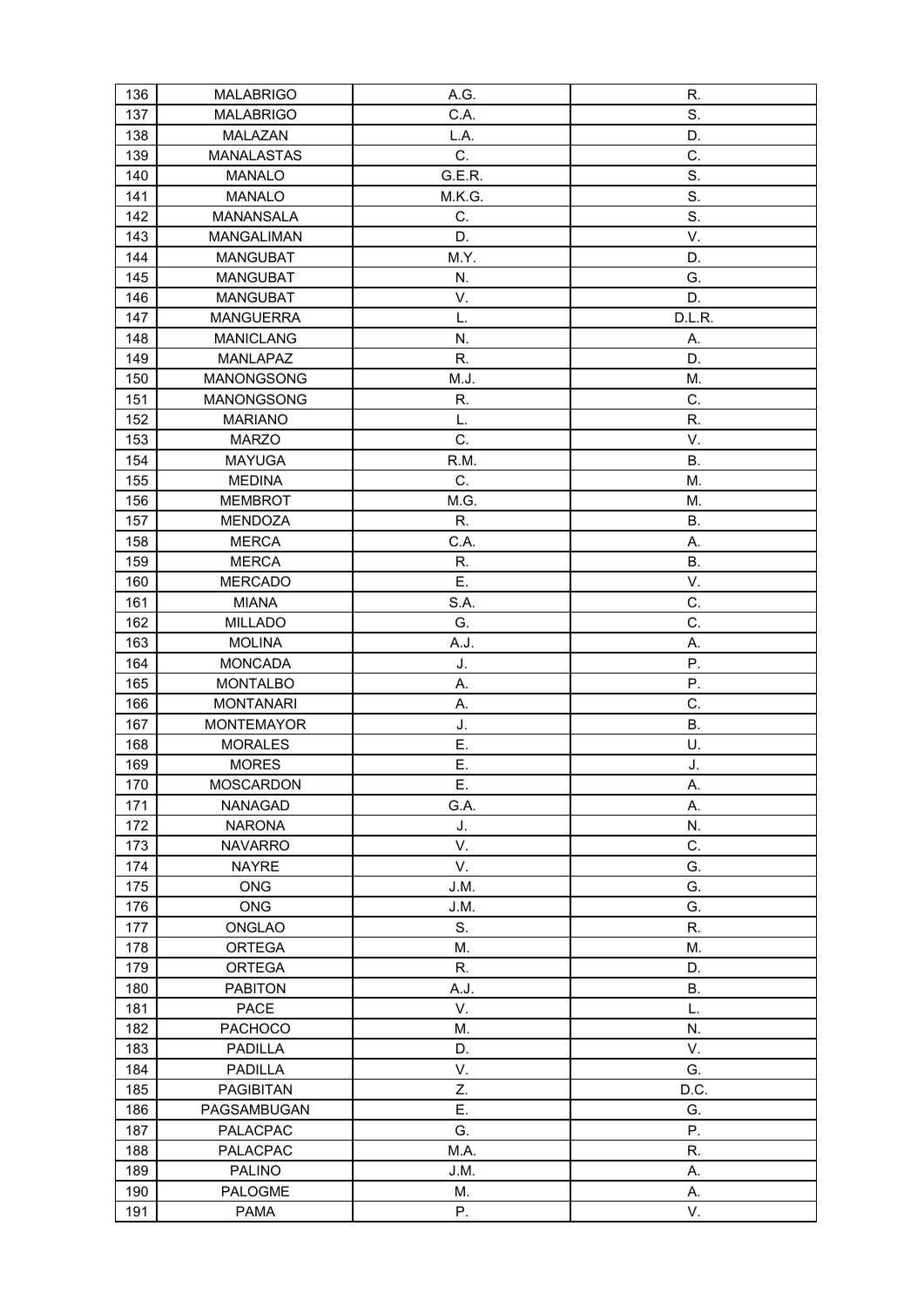| C.A.<br>S.<br>137<br><b>MALABRIGO</b><br>MALAZAN<br>L.A.<br>D.<br>138<br>C.<br>C.<br>139<br><b>MANALASTAS</b><br>S.<br>G.E.R.<br>140<br><b>MANALO</b><br>S.<br>M.K.G.<br><b>MANALO</b><br>141<br><b>MANANSALA</b><br>C.<br>S.<br>142<br>D.<br>V.<br><b>MANGALIMAN</b><br>143<br>M.Y.<br>144<br><b>MANGUBAT</b><br>D.<br>N.<br>G.<br>145<br><b>MANGUBAT</b><br>V.<br>D.<br>146<br><b>MANGUBAT</b><br>D.L.R.<br>147<br><b>MANGUERRA</b><br>L.<br><b>MANICLANG</b><br>148<br>N.<br>А.<br>MANLAPAZ<br>R.<br>D.<br>149<br>M.J.<br>150<br>MANONGSONG<br>M.<br>C.<br>R.<br>151<br><b>MANONGSONG</b><br>R.<br>152<br><b>MARIANO</b><br>L.<br>C.<br><b>MARZO</b><br>V.<br>153<br>R.M.<br><b>B.</b><br>154<br><b>MAYUGA</b><br>C.<br>M.<br>155<br><b>MEDINA</b><br>M.G.<br>M.<br>156<br><b>MEMBROT</b><br>R.<br><b>B.</b><br>157<br><b>MENDOZA</b><br>C.A.<br>158<br><b>MERCA</b><br>А.<br>159<br><b>MERCA</b><br><b>B.</b><br>R.<br>Ε.<br>V.<br><b>MERCADO</b><br>160<br>C.<br>S.A.<br>161<br><b>MIANA</b><br>C.<br>G.<br>162<br><b>MILLADO</b><br>163<br><b>MOLINA</b><br>A.J.<br>А.<br>J.<br>Ρ.<br>164<br><b>MONCADA</b><br>Ρ.<br><b>MONTALBO</b><br>А.<br>165<br>C.<br>166<br><b>MONTANARI</b><br>А.<br>J.<br><b>B.</b><br>167<br><b>MONTEMAYOR</b><br>E.<br>U.<br>168<br><b>MORALES</b><br>Ε.<br>169<br><b>MORES</b><br>J.<br><b>MOSCARDON</b><br>Ε.<br>170<br>А.<br>G.A.<br>Α.<br>171<br><b>NANAGAD</b><br>N.<br>172<br><b>NARONA</b><br>J.<br>V.<br>C.<br>173<br><b>NAVARRO</b><br>174<br>V.<br>G.<br><b>NAYRE</b><br>175<br><b>ONG</b><br>G.<br>J.M.<br>ONG<br>G.<br>176<br>J.M.<br>S.<br>177<br>ONGLAO<br>R.<br>M.<br>M.<br>178<br><b>ORTEGA</b><br>R.<br>179<br>ORTEGA<br>D.<br>180<br><b>PABITON</b><br>A.J.<br><b>B.</b><br>V.<br>181<br><b>PACE</b><br>L.<br><b>PACHOCO</b><br>N.<br>182<br>М.<br>D.<br>V.<br>183<br><b>PADILLA</b><br>V.<br>G.<br>184<br><b>PADILLA</b><br>D.C.<br>185<br><b>PAGIBITAN</b><br>Z.<br>Ε.<br>186<br>PAGSAMBUGAN<br>G.<br>G.<br>Ρ.<br>187<br>PALACPAC<br>M.A.<br>R.<br>188<br>PALACPAC<br>189<br><b>PALINO</b><br>J.M.<br>Α.<br><b>PALOGME</b><br>190<br>М.<br>А.<br>191<br><b>PAMA</b><br>Ρ.<br>V. | 136 | <b>MALABRIGO</b> | A.G. | R. |
|-------------------------------------------------------------------------------------------------------------------------------------------------------------------------------------------------------------------------------------------------------------------------------------------------------------------------------------------------------------------------------------------------------------------------------------------------------------------------------------------------------------------------------------------------------------------------------------------------------------------------------------------------------------------------------------------------------------------------------------------------------------------------------------------------------------------------------------------------------------------------------------------------------------------------------------------------------------------------------------------------------------------------------------------------------------------------------------------------------------------------------------------------------------------------------------------------------------------------------------------------------------------------------------------------------------------------------------------------------------------------------------------------------------------------------------------------------------------------------------------------------------------------------------------------------------------------------------------------------------------------------------------------------------------------------------------------------------------------------------------------------------------------------------------------------------------------------------------------------------------------------------------------------------------------------------------------------------------------------------------------------------------------------------------------------------------------------------------------------------------------------------|-----|------------------|------|----|
|                                                                                                                                                                                                                                                                                                                                                                                                                                                                                                                                                                                                                                                                                                                                                                                                                                                                                                                                                                                                                                                                                                                                                                                                                                                                                                                                                                                                                                                                                                                                                                                                                                                                                                                                                                                                                                                                                                                                                                                                                                                                                                                                     |     |                  |      |    |
|                                                                                                                                                                                                                                                                                                                                                                                                                                                                                                                                                                                                                                                                                                                                                                                                                                                                                                                                                                                                                                                                                                                                                                                                                                                                                                                                                                                                                                                                                                                                                                                                                                                                                                                                                                                                                                                                                                                                                                                                                                                                                                                                     |     |                  |      |    |
|                                                                                                                                                                                                                                                                                                                                                                                                                                                                                                                                                                                                                                                                                                                                                                                                                                                                                                                                                                                                                                                                                                                                                                                                                                                                                                                                                                                                                                                                                                                                                                                                                                                                                                                                                                                                                                                                                                                                                                                                                                                                                                                                     |     |                  |      |    |
|                                                                                                                                                                                                                                                                                                                                                                                                                                                                                                                                                                                                                                                                                                                                                                                                                                                                                                                                                                                                                                                                                                                                                                                                                                                                                                                                                                                                                                                                                                                                                                                                                                                                                                                                                                                                                                                                                                                                                                                                                                                                                                                                     |     |                  |      |    |
|                                                                                                                                                                                                                                                                                                                                                                                                                                                                                                                                                                                                                                                                                                                                                                                                                                                                                                                                                                                                                                                                                                                                                                                                                                                                                                                                                                                                                                                                                                                                                                                                                                                                                                                                                                                                                                                                                                                                                                                                                                                                                                                                     |     |                  |      |    |
|                                                                                                                                                                                                                                                                                                                                                                                                                                                                                                                                                                                                                                                                                                                                                                                                                                                                                                                                                                                                                                                                                                                                                                                                                                                                                                                                                                                                                                                                                                                                                                                                                                                                                                                                                                                                                                                                                                                                                                                                                                                                                                                                     |     |                  |      |    |
|                                                                                                                                                                                                                                                                                                                                                                                                                                                                                                                                                                                                                                                                                                                                                                                                                                                                                                                                                                                                                                                                                                                                                                                                                                                                                                                                                                                                                                                                                                                                                                                                                                                                                                                                                                                                                                                                                                                                                                                                                                                                                                                                     |     |                  |      |    |
|                                                                                                                                                                                                                                                                                                                                                                                                                                                                                                                                                                                                                                                                                                                                                                                                                                                                                                                                                                                                                                                                                                                                                                                                                                                                                                                                                                                                                                                                                                                                                                                                                                                                                                                                                                                                                                                                                                                                                                                                                                                                                                                                     |     |                  |      |    |
|                                                                                                                                                                                                                                                                                                                                                                                                                                                                                                                                                                                                                                                                                                                                                                                                                                                                                                                                                                                                                                                                                                                                                                                                                                                                                                                                                                                                                                                                                                                                                                                                                                                                                                                                                                                                                                                                                                                                                                                                                                                                                                                                     |     |                  |      |    |
|                                                                                                                                                                                                                                                                                                                                                                                                                                                                                                                                                                                                                                                                                                                                                                                                                                                                                                                                                                                                                                                                                                                                                                                                                                                                                                                                                                                                                                                                                                                                                                                                                                                                                                                                                                                                                                                                                                                                                                                                                                                                                                                                     |     |                  |      |    |
|                                                                                                                                                                                                                                                                                                                                                                                                                                                                                                                                                                                                                                                                                                                                                                                                                                                                                                                                                                                                                                                                                                                                                                                                                                                                                                                                                                                                                                                                                                                                                                                                                                                                                                                                                                                                                                                                                                                                                                                                                                                                                                                                     |     |                  |      |    |
|                                                                                                                                                                                                                                                                                                                                                                                                                                                                                                                                                                                                                                                                                                                                                                                                                                                                                                                                                                                                                                                                                                                                                                                                                                                                                                                                                                                                                                                                                                                                                                                                                                                                                                                                                                                                                                                                                                                                                                                                                                                                                                                                     |     |                  |      |    |
|                                                                                                                                                                                                                                                                                                                                                                                                                                                                                                                                                                                                                                                                                                                                                                                                                                                                                                                                                                                                                                                                                                                                                                                                                                                                                                                                                                                                                                                                                                                                                                                                                                                                                                                                                                                                                                                                                                                                                                                                                                                                                                                                     |     |                  |      |    |
|                                                                                                                                                                                                                                                                                                                                                                                                                                                                                                                                                                                                                                                                                                                                                                                                                                                                                                                                                                                                                                                                                                                                                                                                                                                                                                                                                                                                                                                                                                                                                                                                                                                                                                                                                                                                                                                                                                                                                                                                                                                                                                                                     |     |                  |      |    |
|                                                                                                                                                                                                                                                                                                                                                                                                                                                                                                                                                                                                                                                                                                                                                                                                                                                                                                                                                                                                                                                                                                                                                                                                                                                                                                                                                                                                                                                                                                                                                                                                                                                                                                                                                                                                                                                                                                                                                                                                                                                                                                                                     |     |                  |      |    |
|                                                                                                                                                                                                                                                                                                                                                                                                                                                                                                                                                                                                                                                                                                                                                                                                                                                                                                                                                                                                                                                                                                                                                                                                                                                                                                                                                                                                                                                                                                                                                                                                                                                                                                                                                                                                                                                                                                                                                                                                                                                                                                                                     |     |                  |      |    |
|                                                                                                                                                                                                                                                                                                                                                                                                                                                                                                                                                                                                                                                                                                                                                                                                                                                                                                                                                                                                                                                                                                                                                                                                                                                                                                                                                                                                                                                                                                                                                                                                                                                                                                                                                                                                                                                                                                                                                                                                                                                                                                                                     |     |                  |      |    |
|                                                                                                                                                                                                                                                                                                                                                                                                                                                                                                                                                                                                                                                                                                                                                                                                                                                                                                                                                                                                                                                                                                                                                                                                                                                                                                                                                                                                                                                                                                                                                                                                                                                                                                                                                                                                                                                                                                                                                                                                                                                                                                                                     |     |                  |      |    |
|                                                                                                                                                                                                                                                                                                                                                                                                                                                                                                                                                                                                                                                                                                                                                                                                                                                                                                                                                                                                                                                                                                                                                                                                                                                                                                                                                                                                                                                                                                                                                                                                                                                                                                                                                                                                                                                                                                                                                                                                                                                                                                                                     |     |                  |      |    |
|                                                                                                                                                                                                                                                                                                                                                                                                                                                                                                                                                                                                                                                                                                                                                                                                                                                                                                                                                                                                                                                                                                                                                                                                                                                                                                                                                                                                                                                                                                                                                                                                                                                                                                                                                                                                                                                                                                                                                                                                                                                                                                                                     |     |                  |      |    |
|                                                                                                                                                                                                                                                                                                                                                                                                                                                                                                                                                                                                                                                                                                                                                                                                                                                                                                                                                                                                                                                                                                                                                                                                                                                                                                                                                                                                                                                                                                                                                                                                                                                                                                                                                                                                                                                                                                                                                                                                                                                                                                                                     |     |                  |      |    |
|                                                                                                                                                                                                                                                                                                                                                                                                                                                                                                                                                                                                                                                                                                                                                                                                                                                                                                                                                                                                                                                                                                                                                                                                                                                                                                                                                                                                                                                                                                                                                                                                                                                                                                                                                                                                                                                                                                                                                                                                                                                                                                                                     |     |                  |      |    |
|                                                                                                                                                                                                                                                                                                                                                                                                                                                                                                                                                                                                                                                                                                                                                                                                                                                                                                                                                                                                                                                                                                                                                                                                                                                                                                                                                                                                                                                                                                                                                                                                                                                                                                                                                                                                                                                                                                                                                                                                                                                                                                                                     |     |                  |      |    |
|                                                                                                                                                                                                                                                                                                                                                                                                                                                                                                                                                                                                                                                                                                                                                                                                                                                                                                                                                                                                                                                                                                                                                                                                                                                                                                                                                                                                                                                                                                                                                                                                                                                                                                                                                                                                                                                                                                                                                                                                                                                                                                                                     |     |                  |      |    |
|                                                                                                                                                                                                                                                                                                                                                                                                                                                                                                                                                                                                                                                                                                                                                                                                                                                                                                                                                                                                                                                                                                                                                                                                                                                                                                                                                                                                                                                                                                                                                                                                                                                                                                                                                                                                                                                                                                                                                                                                                                                                                                                                     |     |                  |      |    |
|                                                                                                                                                                                                                                                                                                                                                                                                                                                                                                                                                                                                                                                                                                                                                                                                                                                                                                                                                                                                                                                                                                                                                                                                                                                                                                                                                                                                                                                                                                                                                                                                                                                                                                                                                                                                                                                                                                                                                                                                                                                                                                                                     |     |                  |      |    |
|                                                                                                                                                                                                                                                                                                                                                                                                                                                                                                                                                                                                                                                                                                                                                                                                                                                                                                                                                                                                                                                                                                                                                                                                                                                                                                                                                                                                                                                                                                                                                                                                                                                                                                                                                                                                                                                                                                                                                                                                                                                                                                                                     |     |                  |      |    |
|                                                                                                                                                                                                                                                                                                                                                                                                                                                                                                                                                                                                                                                                                                                                                                                                                                                                                                                                                                                                                                                                                                                                                                                                                                                                                                                                                                                                                                                                                                                                                                                                                                                                                                                                                                                                                                                                                                                                                                                                                                                                                                                                     |     |                  |      |    |
|                                                                                                                                                                                                                                                                                                                                                                                                                                                                                                                                                                                                                                                                                                                                                                                                                                                                                                                                                                                                                                                                                                                                                                                                                                                                                                                                                                                                                                                                                                                                                                                                                                                                                                                                                                                                                                                                                                                                                                                                                                                                                                                                     |     |                  |      |    |
|                                                                                                                                                                                                                                                                                                                                                                                                                                                                                                                                                                                                                                                                                                                                                                                                                                                                                                                                                                                                                                                                                                                                                                                                                                                                                                                                                                                                                                                                                                                                                                                                                                                                                                                                                                                                                                                                                                                                                                                                                                                                                                                                     |     |                  |      |    |
|                                                                                                                                                                                                                                                                                                                                                                                                                                                                                                                                                                                                                                                                                                                                                                                                                                                                                                                                                                                                                                                                                                                                                                                                                                                                                                                                                                                                                                                                                                                                                                                                                                                                                                                                                                                                                                                                                                                                                                                                                                                                                                                                     |     |                  |      |    |
|                                                                                                                                                                                                                                                                                                                                                                                                                                                                                                                                                                                                                                                                                                                                                                                                                                                                                                                                                                                                                                                                                                                                                                                                                                                                                                                                                                                                                                                                                                                                                                                                                                                                                                                                                                                                                                                                                                                                                                                                                                                                                                                                     |     |                  |      |    |
|                                                                                                                                                                                                                                                                                                                                                                                                                                                                                                                                                                                                                                                                                                                                                                                                                                                                                                                                                                                                                                                                                                                                                                                                                                                                                                                                                                                                                                                                                                                                                                                                                                                                                                                                                                                                                                                                                                                                                                                                                                                                                                                                     |     |                  |      |    |
|                                                                                                                                                                                                                                                                                                                                                                                                                                                                                                                                                                                                                                                                                                                                                                                                                                                                                                                                                                                                                                                                                                                                                                                                                                                                                                                                                                                                                                                                                                                                                                                                                                                                                                                                                                                                                                                                                                                                                                                                                                                                                                                                     |     |                  |      |    |
|                                                                                                                                                                                                                                                                                                                                                                                                                                                                                                                                                                                                                                                                                                                                                                                                                                                                                                                                                                                                                                                                                                                                                                                                                                                                                                                                                                                                                                                                                                                                                                                                                                                                                                                                                                                                                                                                                                                                                                                                                                                                                                                                     |     |                  |      |    |
|                                                                                                                                                                                                                                                                                                                                                                                                                                                                                                                                                                                                                                                                                                                                                                                                                                                                                                                                                                                                                                                                                                                                                                                                                                                                                                                                                                                                                                                                                                                                                                                                                                                                                                                                                                                                                                                                                                                                                                                                                                                                                                                                     |     |                  |      |    |
|                                                                                                                                                                                                                                                                                                                                                                                                                                                                                                                                                                                                                                                                                                                                                                                                                                                                                                                                                                                                                                                                                                                                                                                                                                                                                                                                                                                                                                                                                                                                                                                                                                                                                                                                                                                                                                                                                                                                                                                                                                                                                                                                     |     |                  |      |    |
|                                                                                                                                                                                                                                                                                                                                                                                                                                                                                                                                                                                                                                                                                                                                                                                                                                                                                                                                                                                                                                                                                                                                                                                                                                                                                                                                                                                                                                                                                                                                                                                                                                                                                                                                                                                                                                                                                                                                                                                                                                                                                                                                     |     |                  |      |    |
|                                                                                                                                                                                                                                                                                                                                                                                                                                                                                                                                                                                                                                                                                                                                                                                                                                                                                                                                                                                                                                                                                                                                                                                                                                                                                                                                                                                                                                                                                                                                                                                                                                                                                                                                                                                                                                                                                                                                                                                                                                                                                                                                     |     |                  |      |    |
|                                                                                                                                                                                                                                                                                                                                                                                                                                                                                                                                                                                                                                                                                                                                                                                                                                                                                                                                                                                                                                                                                                                                                                                                                                                                                                                                                                                                                                                                                                                                                                                                                                                                                                                                                                                                                                                                                                                                                                                                                                                                                                                                     |     |                  |      |    |
|                                                                                                                                                                                                                                                                                                                                                                                                                                                                                                                                                                                                                                                                                                                                                                                                                                                                                                                                                                                                                                                                                                                                                                                                                                                                                                                                                                                                                                                                                                                                                                                                                                                                                                                                                                                                                                                                                                                                                                                                                                                                                                                                     |     |                  |      |    |
|                                                                                                                                                                                                                                                                                                                                                                                                                                                                                                                                                                                                                                                                                                                                                                                                                                                                                                                                                                                                                                                                                                                                                                                                                                                                                                                                                                                                                                                                                                                                                                                                                                                                                                                                                                                                                                                                                                                                                                                                                                                                                                                                     |     |                  |      |    |
|                                                                                                                                                                                                                                                                                                                                                                                                                                                                                                                                                                                                                                                                                                                                                                                                                                                                                                                                                                                                                                                                                                                                                                                                                                                                                                                                                                                                                                                                                                                                                                                                                                                                                                                                                                                                                                                                                                                                                                                                                                                                                                                                     |     |                  |      |    |
|                                                                                                                                                                                                                                                                                                                                                                                                                                                                                                                                                                                                                                                                                                                                                                                                                                                                                                                                                                                                                                                                                                                                                                                                                                                                                                                                                                                                                                                                                                                                                                                                                                                                                                                                                                                                                                                                                                                                                                                                                                                                                                                                     |     |                  |      |    |
|                                                                                                                                                                                                                                                                                                                                                                                                                                                                                                                                                                                                                                                                                                                                                                                                                                                                                                                                                                                                                                                                                                                                                                                                                                                                                                                                                                                                                                                                                                                                                                                                                                                                                                                                                                                                                                                                                                                                                                                                                                                                                                                                     |     |                  |      |    |
|                                                                                                                                                                                                                                                                                                                                                                                                                                                                                                                                                                                                                                                                                                                                                                                                                                                                                                                                                                                                                                                                                                                                                                                                                                                                                                                                                                                                                                                                                                                                                                                                                                                                                                                                                                                                                                                                                                                                                                                                                                                                                                                                     |     |                  |      |    |
|                                                                                                                                                                                                                                                                                                                                                                                                                                                                                                                                                                                                                                                                                                                                                                                                                                                                                                                                                                                                                                                                                                                                                                                                                                                                                                                                                                                                                                                                                                                                                                                                                                                                                                                                                                                                                                                                                                                                                                                                                                                                                                                                     |     |                  |      |    |
|                                                                                                                                                                                                                                                                                                                                                                                                                                                                                                                                                                                                                                                                                                                                                                                                                                                                                                                                                                                                                                                                                                                                                                                                                                                                                                                                                                                                                                                                                                                                                                                                                                                                                                                                                                                                                                                                                                                                                                                                                                                                                                                                     |     |                  |      |    |
|                                                                                                                                                                                                                                                                                                                                                                                                                                                                                                                                                                                                                                                                                                                                                                                                                                                                                                                                                                                                                                                                                                                                                                                                                                                                                                                                                                                                                                                                                                                                                                                                                                                                                                                                                                                                                                                                                                                                                                                                                                                                                                                                     |     |                  |      |    |
|                                                                                                                                                                                                                                                                                                                                                                                                                                                                                                                                                                                                                                                                                                                                                                                                                                                                                                                                                                                                                                                                                                                                                                                                                                                                                                                                                                                                                                                                                                                                                                                                                                                                                                                                                                                                                                                                                                                                                                                                                                                                                                                                     |     |                  |      |    |
|                                                                                                                                                                                                                                                                                                                                                                                                                                                                                                                                                                                                                                                                                                                                                                                                                                                                                                                                                                                                                                                                                                                                                                                                                                                                                                                                                                                                                                                                                                                                                                                                                                                                                                                                                                                                                                                                                                                                                                                                                                                                                                                                     |     |                  |      |    |
|                                                                                                                                                                                                                                                                                                                                                                                                                                                                                                                                                                                                                                                                                                                                                                                                                                                                                                                                                                                                                                                                                                                                                                                                                                                                                                                                                                                                                                                                                                                                                                                                                                                                                                                                                                                                                                                                                                                                                                                                                                                                                                                                     |     |                  |      |    |
|                                                                                                                                                                                                                                                                                                                                                                                                                                                                                                                                                                                                                                                                                                                                                                                                                                                                                                                                                                                                                                                                                                                                                                                                                                                                                                                                                                                                                                                                                                                                                                                                                                                                                                                                                                                                                                                                                                                                                                                                                                                                                                                                     |     |                  |      |    |
|                                                                                                                                                                                                                                                                                                                                                                                                                                                                                                                                                                                                                                                                                                                                                                                                                                                                                                                                                                                                                                                                                                                                                                                                                                                                                                                                                                                                                                                                                                                                                                                                                                                                                                                                                                                                                                                                                                                                                                                                                                                                                                                                     |     |                  |      |    |
|                                                                                                                                                                                                                                                                                                                                                                                                                                                                                                                                                                                                                                                                                                                                                                                                                                                                                                                                                                                                                                                                                                                                                                                                                                                                                                                                                                                                                                                                                                                                                                                                                                                                                                                                                                                                                                                                                                                                                                                                                                                                                                                                     |     |                  |      |    |
|                                                                                                                                                                                                                                                                                                                                                                                                                                                                                                                                                                                                                                                                                                                                                                                                                                                                                                                                                                                                                                                                                                                                                                                                                                                                                                                                                                                                                                                                                                                                                                                                                                                                                                                                                                                                                                                                                                                                                                                                                                                                                                                                     |     |                  |      |    |